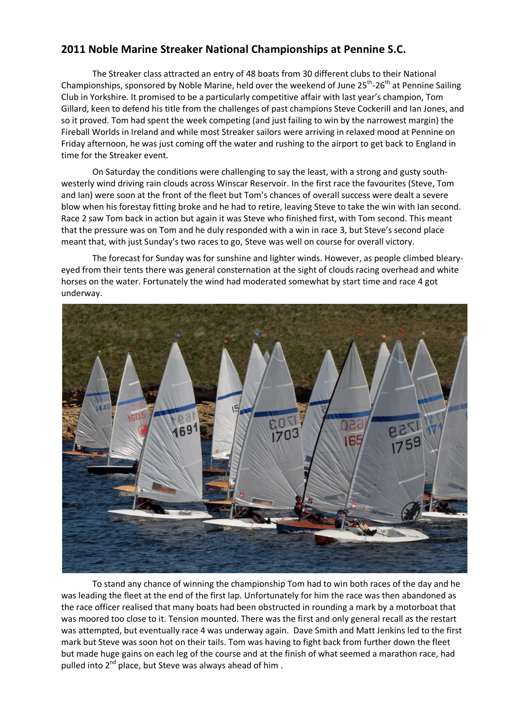## **2011 Noble Marine Streaker National Championships at Pennine S.C.**

The Streaker class attracted an entry of 48 boats from 30 different clubs to their National Championships, sponsored by Noble Marine, held over the weekend of June 25<sup>th</sup>-26<sup>th</sup> at Pennine Sailing Club in Yorkshire. It promised to be a particularly competitive affair with last year's champion, Tom Gillard, keen to defend his title from the challenges of past champions Steve Cockerill and Ian Jones, and so it proved. Tom had spent the week competing (and just failing to win by the narrowest margin) the Fireball Worlds in Ireland and while most Streaker sailors were arriving in relaxed mood at Pennine on Friday afternoon, he was just coming off the water and rushing to the airport to get back to England in time for the Streaker event.

On Saturday the conditions were challenging to say the least, with a strong and gusty southwesterly wind driving rain clouds across Winscar Reservoir. In the first race the favourites (Steve, Tom and Ian) were soon at the front of the fleet but Tom's chances of overall success were dealt a severe blow when his forestay fitting broke and he had to retire, leaving Steve to take the win with Ian second. Race 2 saw Tom back in action but again it was Steve who finished first, with Tom second. This meant that the pressure was on Tom and he duly responded with a win in race 3, but Steve's second place meant that, with just Sunday's two races to go, Steve was well on course for overall victory.

The forecast for Sunday was for sunshine and lighter winds. However, as people climbed blearyeyed from their tents there was general consternation at the sight of clouds racing overhead and white horses on the water. Fortunately the wind had moderated somewhat by start time and race 4 got underway.



To stand any chance of winning the championship Tom had to win both races of the day and he was leading the fleet at the end of the first lap. Unfortunately for him the race was then abandoned as the race officer realised that many boats had been obstructed in rounding a mark by a motorboat that was moored too close to it. Tension mounted. There was the first and only general recall as the restart was attempted, but eventually race 4 was underway again. Dave Smith and Matt Jenkins led to the first mark but Steve was soon hot on their tails. Tom was having to fight back from further down the fleet but made huge gains on each leg of the course and at the finish of what seemed a marathon race, had pulled into 2<sup>nd</sup> place, but Steve was always ahead of him.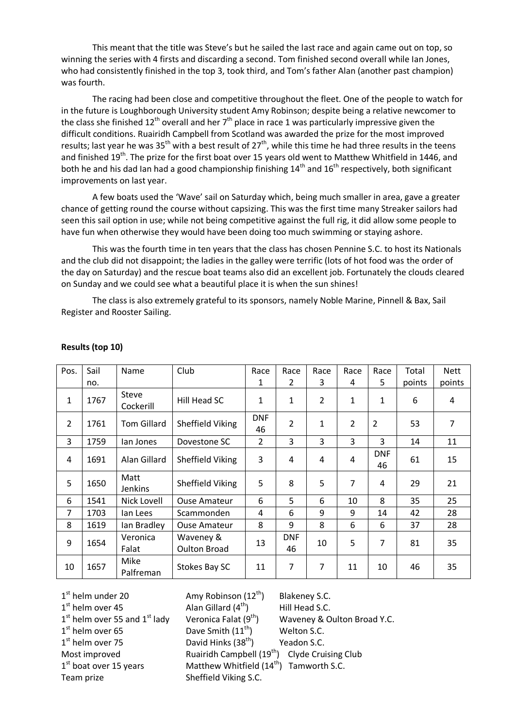This meant that the title was Steve's but he sailed the last race and again came out on top, so winning the series with 4 firsts and discarding a second. Tom finished second overall while Ian Jones, who had consistently finished in the top 3, took third, and Tom's father Alan (another past champion) was fourth.

The racing had been close and competitive throughout the fleet. One of the people to watch for in the future is Loughborough University student Amy Robinson; despite being a relative newcomer to the class she finished  $12<sup>th</sup>$  overall and her  $7<sup>th</sup>$  place in race 1 was particularly impressive given the difficult conditions. Ruairidh Campbell from Scotland was awarded the prize for the most improved results; last year he was  $35<sup>th</sup>$  with a best result of  $27<sup>th</sup>$ , while this time he had three results in the teens and finished 19<sup>th</sup>. The prize for the first boat over 15 years old went to Matthew Whitfield in 1446, and both he and his dad Ian had a good championship finishing  $14<sup>th</sup>$  and  $16<sup>th</sup>$  respectively, both significant improvements on last year.

A few boats used the 'Wave' sail on Saturday which, being much smaller in area, gave a greater chance of getting round the course without capsizing. This was the first time many Streaker sailors had seen this sail option in use; while not being competitive against the full rig, it did allow some people to have fun when otherwise they would have been doing too much swimming or staying ashore.

This was the fourth time in ten years that the class has chosen Pennine S.C. to host its Nationals and the club did not disappoint; the ladies in the galley were terrific (lots of hot food was the order of the day on Saturday) and the rescue boat teams also did an excellent job. Fortunately the clouds cleared on Sunday and we could see what a beautiful place it is when the sun shines!

The class is also extremely grateful to its sponsors, namely Noble Marine, Pinnell & Bax, Sail Register and Rooster Sailing.

| Pos.           | Sail | Name                   | Club                             | Race             | Race             | Race           | Race           | Race             | Total  | <b>Nett</b> |
|----------------|------|------------------------|----------------------------------|------------------|------------------|----------------|----------------|------------------|--------|-------------|
|                |      |                        |                                  |                  |                  |                |                |                  |        |             |
|                | no.  |                        |                                  | 1                | 2                | 3              | 4              | 5                | points | points      |
| 1              | 1767 | Steve<br>Cockerill     | Hill Head SC                     | $\mathbf{1}$     | 1                | $\overline{2}$ | 1              | $\mathbf{1}$     | 6      | 4           |
| $\overline{2}$ | 1761 | <b>Tom Gillard</b>     | Sheffield Viking                 | <b>DNF</b><br>46 | $\overline{2}$   | $\mathbf{1}$   | $\overline{2}$ | $\overline{2}$   | 53     | 7           |
| 3              | 1759 | lan Jones              | Dovestone SC                     | $\overline{2}$   | 3                | 3              | 3              | 3                | 14     | 11          |
| 4              | 1691 | Alan Gillard           | Sheffield Viking                 | 3                | 4                | 4              | 4              | <b>DNF</b><br>46 | 61     | 15          |
| 5              | 1650 | Matt<br><b>Jenkins</b> | Sheffield Viking                 | 5                | 8                | 5              | 7              | 4                | 29     | 21          |
| 6              | 1541 | Nick Lovell            | <b>Ouse Amateur</b>              | 6                | 5                | 6              | 10             | 8                | 35     | 25          |
| 7              | 1703 | lan Lees               | Scammonden                       | 4                | 6                | 9              | 9              | 14               | 42     | 28          |
| 8              | 1619 | lan Bradley            | <b>Ouse Amateur</b>              | 8                | 9                | 8              | 6              | 6                | 37     | 28          |
| 9              | 1654 | Veronica<br>Falat      | Waveney &<br><b>Oulton Broad</b> | 13               | <b>DNF</b><br>46 | 10             | 5              | 7                | 81     | 35          |
| 10             | 1657 | Mike<br>Palfreman      | Stokes Bay SC                    | 11               | 7                | 7              | 11             | 10               | 46     | 35          |

## **Results (top 10)**

 $1<sup>st</sup>$  helm under 20  $1<sup>st</sup>$  helm over 45  $1<sup>st</sup>$  helm over 65  $1<sup>st</sup>$  helm over 75  $1<sup>st</sup>$  boat over 15 years

Amy Robinson  $(12<sup>th</sup>)$  Blakeney S.C. Alan Gillard  $(4<sup>th</sup>)$  $1<sup>st</sup>$  helm over 55 and  $1<sup>st</sup>$  lady Veronica Falat (9<sup>th</sup>) Waveney & Oulton Broad Y.C. Dave Smith  $(11<sup>th</sup>)$  Welton S.C. David Hinks  $(38<sup>th</sup>)$  Yeadon S.C. Most improved Ruairidh Campbell (19<sup>th</sup>) Clyde Cruising Club Matthew Whitfield  $(14<sup>th</sup>)$  Tamworth S.C. Team prize Sheffield Viking S.C.

Hill Head S.C.